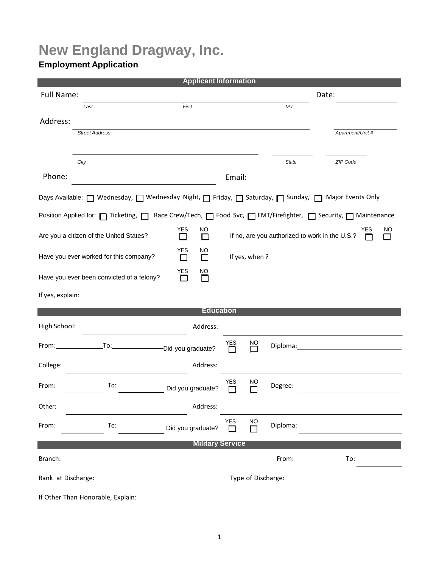# **New England Dragway, Inc.**

## **Employment Application**

| <b>Applicant Information</b>                                                                                                                                                                                                   |                                           |                                   |                                                                  |                      |              |                  |  |  |  |  |  |
|--------------------------------------------------------------------------------------------------------------------------------------------------------------------------------------------------------------------------------|-------------------------------------------|-----------------------------------|------------------------------------------------------------------|----------------------|--------------|------------------|--|--|--|--|--|
| Full Name:                                                                                                                                                                                                                     |                                           |                                   |                                                                  | Date:                |              |                  |  |  |  |  |  |
| Last                                                                                                                                                                                                                           |                                           | First                             |                                                                  |                      | M.I.         |                  |  |  |  |  |  |
| Address:                                                                                                                                                                                                                       |                                           |                                   |                                                                  |                      |              |                  |  |  |  |  |  |
|                                                                                                                                                                                                                                | <b>Street Address</b>                     |                                   |                                                                  |                      |              | Apartment/Unit # |  |  |  |  |  |
|                                                                                                                                                                                                                                |                                           |                                   |                                                                  |                      |              |                  |  |  |  |  |  |
| City                                                                                                                                                                                                                           |                                           |                                   |                                                                  |                      | <b>State</b> | ZIP Code         |  |  |  |  |  |
| Phone:                                                                                                                                                                                                                         |                                           |                                   | Email:                                                           |                      |              |                  |  |  |  |  |  |
| Days Available: □ Wednesday, □ Wednesday Night, □ Friday, □ Saturday, □ Sunday, □ Major Events Only                                                                                                                            |                                           |                                   |                                                                  |                      |              |                  |  |  |  |  |  |
| Position Applied for: □ Ticketing, □ Race Crew/Tech, □ Food Svc, □ EMT/Firefighter, □ Security, □ Maintenance                                                                                                                  |                                           |                                   |                                                                  |                      |              |                  |  |  |  |  |  |
| <b>YES</b><br><b>NO</b><br>Are you a citizen of the United States?<br>ΙI                                                                                                                                                       |                                           |                                   | YES<br>NO<br>If no, are you authorized to work in the U.S.?<br>⊓ |                      |              |                  |  |  |  |  |  |
|                                                                                                                                                                                                                                | Have you ever worked for this company?    | <b>YES</b><br>NO<br>П<br>$\Box$   |                                                                  | If yes, when?        |              |                  |  |  |  |  |  |
|                                                                                                                                                                                                                                | Have you ever been convicted of a felony? | YES<br>$\underline{NO}$<br>П<br>П |                                                                  |                      |              |                  |  |  |  |  |  |
| If yes, explain:                                                                                                                                                                                                               |                                           |                                   |                                                                  |                      |              |                  |  |  |  |  |  |
| <b>Education</b>                                                                                                                                                                                                               |                                           |                                   |                                                                  |                      |              |                  |  |  |  |  |  |
| High School:                                                                                                                                                                                                                   |                                           | Address:                          |                                                                  |                      |              |                  |  |  |  |  |  |
| From: University of the series of the series of the series of the series of the series of the series of the series of the series of the series of the series of the series of the series of the series of the series of the se | To:                                       | -Did you graduate?                | YES<br>П                                                         | NO                   | Diploma:     |                  |  |  |  |  |  |
| College:                                                                                                                                                                                                                       |                                           | Address:                          |                                                                  |                      |              |                  |  |  |  |  |  |
| From:                                                                                                                                                                                                                          | To:                                       | Did you graduate?                 | <b>YES</b><br>П                                                  | NO                   | Degree:      |                  |  |  |  |  |  |
| Other:                                                                                                                                                                                                                         |                                           | Address:                          |                                                                  |                      |              |                  |  |  |  |  |  |
| From:                                                                                                                                                                                                                          | To:                                       | Did you graduate?                 | YES<br>П                                                         | $\overline{\square}$ | Diploma:     |                  |  |  |  |  |  |
| <b>Military Service</b>                                                                                                                                                                                                        |                                           |                                   |                                                                  |                      |              |                  |  |  |  |  |  |
| Branch:                                                                                                                                                                                                                        |                                           |                                   |                                                                  |                      | From:        | To:              |  |  |  |  |  |
| Rank at Discharge:                                                                                                                                                                                                             |                                           |                                   |                                                                  | Type of Discharge:   |              |                  |  |  |  |  |  |
| If Other Than Honorable, Explain:                                                                                                                                                                                              |                                           |                                   |                                                                  |                      |              |                  |  |  |  |  |  |